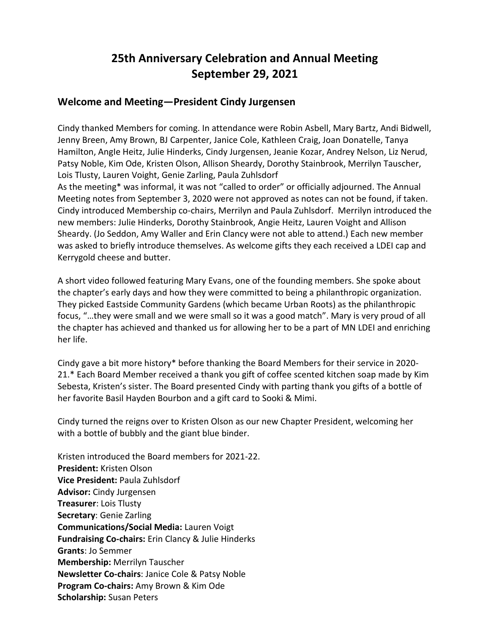# **25th Anniversary Celebration and Annual Meeting September 29, 2021**

## **Welcome and Meeting—President Cindy Jurgensen**

Cindy thanked Members for coming. In attendance were Robin Asbell, Mary Bartz, Andi Bidwell, Jenny Breen, Amy Brown, BJ Carpenter, Janice Cole, Kathleen Craig, Joan Donatelle, Tanya Hamilton, AngIe Heitz, Julie Hinderks, Cindy Jurgensen, Jeanie Kozar, Andrey Nelson, Liz Nerud, Patsy Noble, Kim Ode, Kristen Olson, Allison Sheardy, Dorothy Stainbrook, Merrilyn Tauscher, Lois Tlusty, Lauren Voight, Genie Zarling, Paula Zuhlsdorf

As the meeting\* was informal, it was not "called to order" or officially adjourned. The Annual Meeting notes from September 3, 2020 were not approved as notes can not be found, if taken. Cindy introduced Membership co-chairs, Merrilyn and Paula Zuhlsdorf. Merrilyn introduced the new members: Julie Hinderks, Dorothy Stainbrook, Angie Heitz, Lauren Voight and Allison Sheardy. (Jo Seddon, Amy Waller and Erin Clancy were not able to attend.) Each new member was asked to briefly introduce themselves. As welcome gifts they each received a LDEI cap and Kerrygold cheese and butter.

A short video followed featuring Mary Evans, one of the founding members. She spoke about the chapter's early days and how they were committed to being a philanthropic organization. They picked Eastside Community Gardens (which became Urban Roots) as the philanthropic focus, "…they were small and we were small so it was a good match". Mary is very proud of all the chapter has achieved and thanked us for allowing her to be a part of MN LDEI and enriching her life.

Cindy gave a bit more history\* before thanking the Board Members for their service in 2020- 21.\* Each Board Member received a thank you gift of coffee scented kitchen soap made by Kim Sebesta, Kristen's sister. The Board presented Cindy with parting thank you gifts of a bottle of her favorite Basil Hayden Bourbon and a gift card to Sooki & Mimi.

Cindy turned the reigns over to Kristen Olson as our new Chapter President, welcoming her with a bottle of bubbly and the giant blue binder.

Kristen introduced the Board members for 2021-22. **President:** Kristen Olson **Vice President:** Paula Zuhlsdorf **Advisor:** Cindy Jurgensen **Treasurer**: Lois Tlusty **Secretary**: Genie Zarling **Communications/Social Media:** Lauren Voigt **Fundraising Co-chairs:** Erin Clancy & Julie Hinderks **Grants**: Jo Semmer **Membership:** Merrilyn Tauscher **Newsletter Co-chairs**: Janice Cole & Patsy Noble **Program Co-chairs:** Amy Brown & Kim Ode **Scholarship:** Susan Peters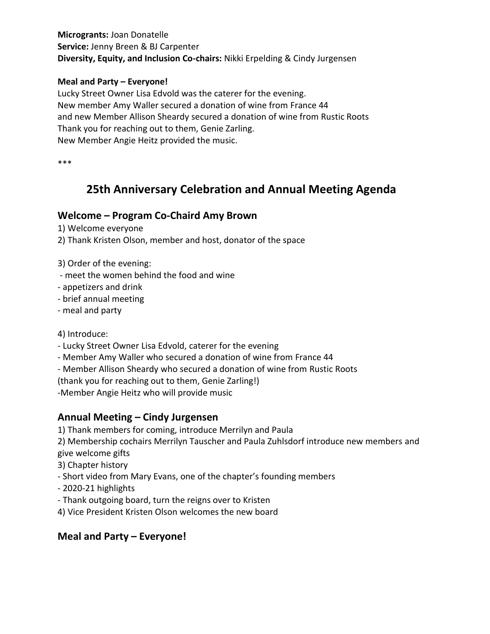**Microgrants:** Joan Donatelle **Service:** Jenny Breen & BJ Carpenter **Diversity, Equity, and Inclusion Co-chairs:** Nikki Erpelding & Cindy Jurgensen

## **Meal and Party – Everyone!**

Lucky Street Owner Lisa Edvold was the caterer for the evening. New member Amy Waller secured a donation of wine from France 44 and new Member Allison Sheardy secured a donation of wine from Rustic Roots Thank you for reaching out to them, Genie Zarling. New Member Angie Heitz provided the music.

\*\*\*

# **25th Anniversary Celebration and Annual Meeting Agenda**

## **Welcome – Program Co-Chaird Amy Brown**

1) Welcome everyone

2) Thank Kristen Olson, member and host, donator of the space

3) Order of the evening:

- meet the women behind the food and wine
- appetizers and drink
- brief annual meeting
- meal and party

4) Introduce:

- Lucky Street Owner Lisa Edvold, caterer for the evening
- Member Amy Waller who secured a donation of wine from France 44
- Member Allison Sheardy who secured a donation of wine from Rustic Roots

(thank you for reaching out to them, Genie Zarling!)

-Member Angie Heitz who will provide music

# **Annual Meeting – Cindy Jurgensen**

1) Thank members for coming, introduce Merrilyn and Paula

2) Membership cochairs Merrilyn Tauscher and Paula Zuhlsdorf introduce new members and give welcome gifts

3) Chapter history

- Short video from Mary Evans, one of the chapter's founding members
- 2020-21 highlights
- Thank outgoing board, turn the reigns over to Kristen

4) Vice President Kristen Olson welcomes the new board

# **Meal and Party – Everyone!**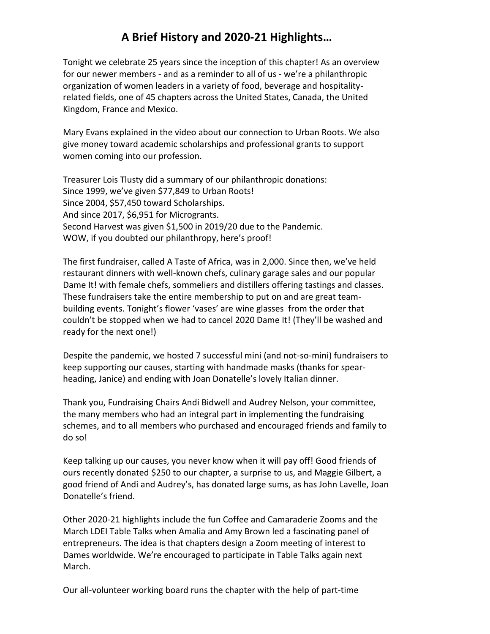# **A Brief History and 2020-21 Highlights…**

Tonight we celebrate 25 years since the inception of this chapter! As an overview for our newer members - and as a reminder to all of us - we're a philanthropic organization of women leaders in a variety of food, beverage and hospitalityrelated fields, one of 45 chapters across the United States, Canada, the United Kingdom, France and Mexico.

Mary Evans explained in the video about our connection to Urban Roots. We also give money toward academic scholarships and professional grants to support women coming into our profession.

Treasurer Lois Tlusty did a summary of our philanthropic donations: Since 1999, we've given \$77,849 to Urban Roots! Since 2004, \$57,450 toward Scholarships. And since 2017, \$6,951 for Microgrants. Second Harvest was given \$1,500 in 2019/20 due to the Pandemic. WOW, if you doubted our philanthropy, here's proof!

The first fundraiser, called A Taste of Africa, was in 2,000. Since then, we've held restaurant dinners with well-known chefs, culinary garage sales and our popular Dame It! with female chefs, sommeliers and distillers offering tastings and classes. These fundraisers take the entire membership to put on and are great teambuilding events. Tonight's flower 'vases' are wine glasses from the order that couldn't be stopped when we had to cancel 2020 Dame It! (They'll be washed and ready for the next one!)

Despite the pandemic, we hosted 7 successful mini (and not-so-mini) fundraisers to keep supporting our causes, starting with handmade masks (thanks for spearheading, Janice) and ending with Joan Donatelle's lovely Italian dinner.

Thank you, Fundraising Chairs Andi Bidwell and Audrey Nelson, your committee, the many members who had an integral part in implementing the fundraising schemes, and to all members who purchased and encouraged friends and family to do so!

Keep talking up our causes, you never know when it will pay off! Good friends of ours recently donated \$250 to our chapter, a surprise to us, and Maggie Gilbert, a good friend of Andi and Audrey's, has donated large sums, as has John Lavelle, Joan Donatelle's friend.

Other 2020-21 highlights include the fun Coffee and Camaraderie Zooms and the March LDEI Table Talks when Amalia and Amy Brown led a fascinating panel of entrepreneurs. The idea is that chapters design a Zoom meeting of interest to Dames worldwide. We're encouraged to participate in Table Talks again next March.

Our all-volunteer working board runs the chapter with the help of part-time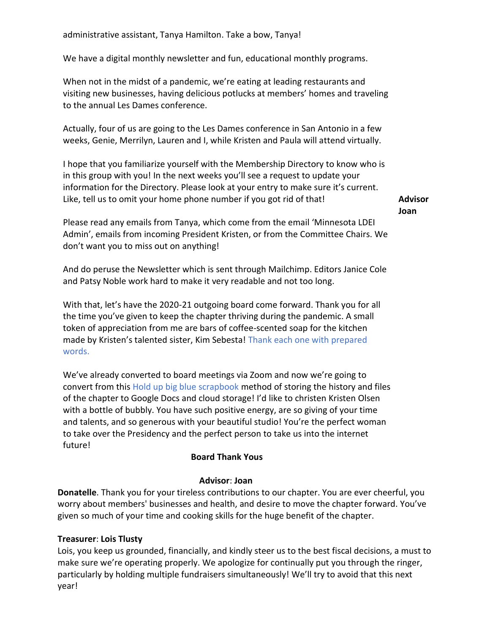We have a digital monthly newsletter and fun, educational monthly programs.

When not in the midst of a pandemic, we're eating at leading restaurants and visiting new businesses, having delicious potlucks at members' homes and traveling to the annual Les Dames conference.

Actually, four of us are going to the Les Dames conference in San Antonio in a few weeks, Genie, Merrilyn, Lauren and I, while Kristen and Paula will attend virtually.

I hope that you familiarize yourself with the Membership Directory to know who is in this group with you! In the next weeks you'll see a request to update your information for the Directory. Please look at your entry to make sure it's current. Like, tell us to omit your home phone number if you got rid of that!

**Advisor Joan** 

Please read any emails from Tanya, which come from the email 'Minnesota LDEI Admin', emails from incoming President Kristen, or from the Committee Chairs. We don't want you to miss out on anything!

And do peruse the Newsletter which is sent through Mailchimp. Editors Janice Cole and Patsy Noble work hard to make it very readable and not too long.

With that, let's have the 2020-21 outgoing board come forward. Thank you for all the time you've given to keep the chapter thriving during the pandemic. A small token of appreciation from me are bars of coffee-scented soap for the kitchen made by Kristen's talented sister, Kim Sebesta! Thank each one with prepared words.

We've already converted to board meetings via Zoom and now we're going to convert from this Hold up big blue scrapbook method of storing the history and files of the chapter to Google Docs and cloud storage! I'd like to christen Kristen Olsen with a bottle of bubbly. You have such positive energy, are so giving of your time and talents, and so generous with your beautiful studio! You're the perfect woman to take over the Presidency and the perfect person to take us into the internet future!

## **Board Thank Yous**

#### **Advisor**: **Joan**

**Donatelle**. Thank you for your tireless contributions to our chapter. You are ever cheerful, you worry about members' businesses and health, and desire to move the chapter forward. You've given so much of your time and cooking skills for the huge benefit of the chapter.

## **Treasurer**: **Lois Tlusty**

Lois, you keep us grounded, financially, and kindly steer us to the best fiscal decisions, a must to make sure we're operating properly. We apologize for continually put you through the ringer, particularly by holding multiple fundraisers simultaneously! We'll try to avoid that this next year!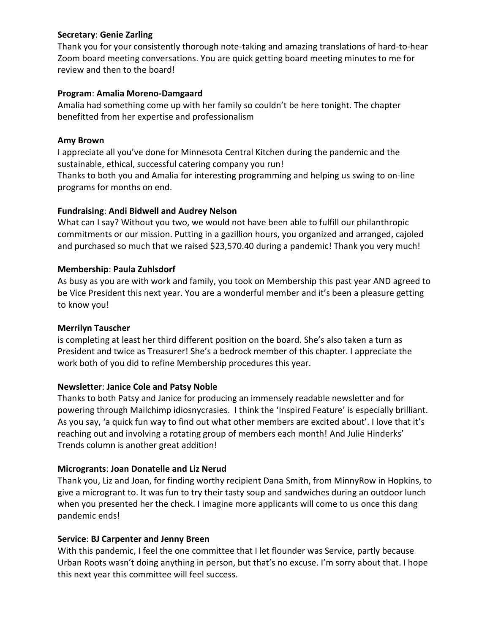#### **Secretary**: **Genie Zarling**

Thank you for your consistently thorough note-taking and amazing translations of hard-to-hear Zoom board meeting conversations. You are quick getting board meeting minutes to me for review and then to the board!

#### **Program**: **Amalia Moreno-Damgaard**

Amalia had something come up with her family so couldn't be here tonight. The chapter benefitted from her expertise and professionalism

#### **Amy Brown**

I appreciate all you've done for Minnesota Central Kitchen during the pandemic and the sustainable, ethical, successful catering company you run!

Thanks to both you and Amalia for interesting programming and helping us swing to on-line programs for months on end.

#### **Fundraising**: **Andi Bidwell and Audrey Nelson**

What can I say? Without you two, we would not have been able to fulfill our philanthropic commitments or our mission. Putting in a gazillion hours, you organized and arranged, cajoled and purchased so much that we raised \$23,570.40 during a pandemic! Thank you very much!

#### **Membership**: **Paula Zuhlsdorf**

As busy as you are with work and family, you took on Membership this past year AND agreed to be Vice President this next year. You are a wonderful member and it's been a pleasure getting to know you!

#### **Merrilyn Tauscher**

is completing at least her third different position on the board. She's also taken a turn as President and twice as Treasurer! She's a bedrock member of this chapter. I appreciate the work both of you did to refine Membership procedures this year.

## **Newsletter**: **Janice Cole and Patsy Noble**

Thanks to both Patsy and Janice for producing an immensely readable newsletter and for powering through Mailchimp idiosnycrasies. I think the 'Inspired Feature' is especially brilliant. As you say, 'a quick fun way to find out what other members are excited about'. I love that it's reaching out and involving a rotating group of members each month! And Julie Hinderks' Trends column is another great addition!

## **Microgrants**: **Joan Donatelle and Liz Nerud**

Thank you, Liz and Joan, for finding worthy recipient Dana Smith, from MinnyRow in Hopkins, to give a microgrant to. It was fun to try their tasty soup and sandwiches during an outdoor lunch when you presented her the check. I imagine more applicants will come to us once this dang pandemic ends!

#### **Service**: **BJ Carpenter and Jenny Breen**

With this pandemic, I feel the one committee that I let flounder was Service, partly because Urban Roots wasn't doing anything in person, but that's no excuse. I'm sorry about that. I hope this next year this committee will feel success.